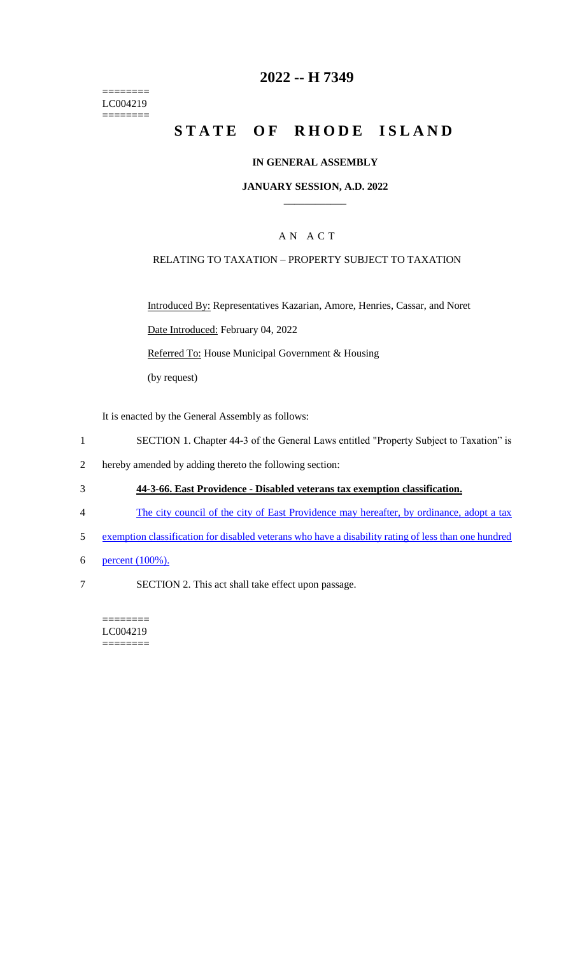======== LC004219  $=$ 

# **2022 -- H 7349**

# **STATE OF RHODE ISLAND**

### **IN GENERAL ASSEMBLY**

#### **JANUARY SESSION, A.D. 2022 \_\_\_\_\_\_\_\_\_\_\_\_**

### A N A C T

### RELATING TO TAXATION – PROPERTY SUBJECT TO TAXATION

Introduced By: Representatives Kazarian, Amore, Henries, Cassar, and Noret Date Introduced: February 04, 2022 Referred To: House Municipal Government & Housing (by request)

It is enacted by the General Assembly as follows:

- 1 SECTION 1. Chapter 44-3 of the General Laws entitled "Property Subject to Taxation" is
- 2 hereby amended by adding thereto the following section:
- 3 **44-3-66. East Providence - Disabled veterans tax exemption classification.**
- 4 The city council of the city of East Providence may hereafter, by ordinance, adopt a tax
- 5 exemption classification for disabled veterans who have a disability rating of less than one hundred
- 6 percent (100%).
- 7 SECTION 2. This act shall take effect upon passage.

======== LC004219 ========